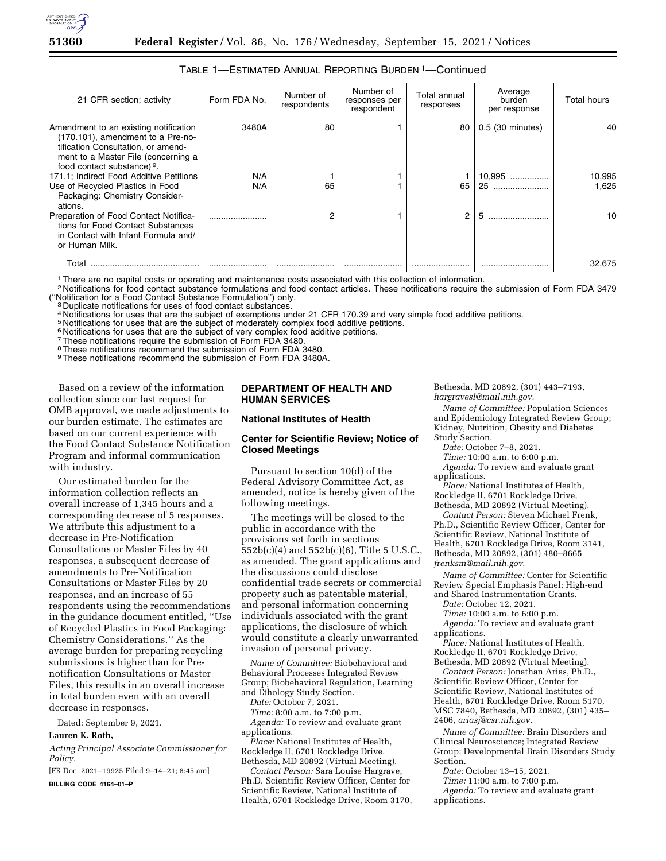

| 21 CFR section; activity                                                                                                                                                              | Form FDA No. | Number of<br>respondents | Number of<br>responses per<br>respondent | Total annual<br>responses | Average<br>burden<br>per response | <b>Total hours</b> |
|---------------------------------------------------------------------------------------------------------------------------------------------------------------------------------------|--------------|--------------------------|------------------------------------------|---------------------------|-----------------------------------|--------------------|
| Amendment to an existing notification<br>(170.101), amendment to a Pre-no-<br>tification Consultation, or amend-<br>ment to a Master File (concerning a<br>food contact substance) 9. | 3480A        | 80                       |                                          | 80                        | 0.5 (30 minutes)                  | 40                 |
| 171.1; Indirect Food Additive Petitions                                                                                                                                               | N/A          |                          |                                          |                           | 10,995                            | 10,995             |
| Use of Recycled Plastics in Food<br>Packaging: Chemistry Consider-<br>ations.                                                                                                         | N/A          | 65                       |                                          | 65                        | 25                                | 1.625              |
| Preparation of Food Contact Notifica-<br>tions for Food Contact Substances<br>in Contact with Infant Formula and/<br>or Human Milk.                                                   |              | 2                        |                                          | 2                         | 5                                 | 10                 |
| Total                                                                                                                                                                                 |              |                          |                                          |                           |                                   | 32.675             |

# TABLE 1—ESTIMATED ANNUAL REPORTING BURDEN 1—Continued

1There are no capital costs or operating and maintenance costs associated with this collection of information.

<sup>2</sup> Notifications for food contact substance formulations and food contact articles. These notifications require the submission of Form FDA 3479 ("Notification for a Food Contact Substance Formulation") only.

<sup>3</sup> Duplicate notifications for uses of food contact substances.

4 Notifications for uses that are the subject of exemptions under 21 CFR 170.39 and very simple food additive petitions.

<sup>5</sup> Notifications for uses that are the subject of moderately complex food additive petitions.

<sup>6</sup> Notifications for uses that are the subject of very complex food additive petitions.

<sup>7</sup> These notifications require the submission of Form FDA 3480.

8These notifications recommend the submission of Form FDA 3480.

9 These notifications recommend the submission of Form FDA 3480A.

Based on a review of the information collection since our last request for OMB approval, we made adjustments to our burden estimate. The estimates are based on our current experience with the Food Contact Substance Notification Program and informal communication with industry.

Our estimated burden for the information collection reflects an overall increase of 1,345 hours and a corresponding decrease of 5 responses. We attribute this adjustment to a decrease in Pre-Notification Consultations or Master Files by 40 responses, a subsequent decrease of amendments to Pre-Notification Consultations or Master Files by 20 responses, and an increase of 55 respondents using the recommendations in the guidance document entitled, ''Use of Recycled Plastics in Food Packaging: Chemistry Considerations.'' As the average burden for preparing recycling submissions is higher than for Prenotification Consultations or Master Files, this results in an overall increase in total burden even with an overall decrease in responses.

Dated: September 9, 2021.

# **Lauren K. Roth,**

*Acting Principal Associate Commissioner for Policy.* 

[FR Doc. 2021–19925 Filed 9–14–21; 8:45 am]

**BILLING CODE 4164–01–P** 

# **DEPARTMENT OF HEALTH AND HUMAN SERVICES**

## **National Institutes of Health**

## **Center for Scientific Review; Notice of Closed Meetings**

Pursuant to section 10(d) of the Federal Advisory Committee Act, as amended, notice is hereby given of the following meetings.

The meetings will be closed to the public in accordance with the provisions set forth in sections 552b(c)(4) and 552b(c)(6), Title 5 U.S.C., as amended. The grant applications and the discussions could disclose confidential trade secrets or commercial property such as patentable material, and personal information concerning individuals associated with the grant applications, the disclosure of which would constitute a clearly unwarranted invasion of personal privacy.

*Name of Committee:* Biobehavioral and Behavioral Processes Integrated Review Group; Biobehavioral Regulation, Learning and Ethology Study Section.

*Date:* October 7, 2021.

*Time:* 8:00 a.m. to 7:00 p.m.

*Agenda:* To review and evaluate grant applications.

*Place:* National Institutes of Health, Rockledge II, 6701 Rockledge Drive, Bethesda, MD 20892 (Virtual Meeting).

*Contact Person:* Sara Louise Hargrave, Ph.D. Scientific Review Officer, Center for Scientific Review, National Institute of Health, 6701 Rockledge Drive, Room 3170, Bethesda, MD 20892, (301) 443–7193, *[hargravesl@mail.nih.gov.](mailto:hargravesl@mail.nih.gov)* 

*Name of Committee:* Population Sciences and Epidemiology Integrated Review Group; Kidney, Nutrition, Obesity and Diabetes Study Section.

*Date:* October 7–8, 2021.

*Time:* 10:00 a.m. to 6:00 p.m.

*Agenda:* To review and evaluate grant applications.

*Place:* National Institutes of Health, Rockledge II, 6701 Rockledge Drive, Bethesda, MD 20892 (Virtual Meeting).

*Contact Person:* Steven Michael Frenk, Ph.D., Scientific Review Officer, Center for Scientific Review, National Institute of Health, 6701 Rockledge Drive, Room 3141, Bethesda, MD 20892, (301) 480–8665 *[frenksm@mail.nih.gov](mailto:frenksm@mail.nih.gov)*.

*Name of Committee:* Center for Scientific Review Special Emphasis Panel; High-end and Shared Instrumentation Grants.

*Date:* October 12, 2021.

*Time:* 10:00 a.m. to 6:00 p.m. *Agenda:* To review and evaluate grant

applications.

*Place:* National Institutes of Health, Rockledge II, 6701 Rockledge Drive, Bethesda, MD 20892 (Virtual Meeting).

*Contact Person:* Jonathan Arias, Ph.D., Scientific Review Officer, Center for Scientific Review, National Institutes of Health, 6701 Rockledge Drive, Room 5170, MSC 7840, Bethesda, MD 20892, (301) 435– 2406, *[ariasj@csr.nih.gov](mailto:ariasj@csr.nih.gov)*.

*Name of Committee:* Brain Disorders and Clinical Neuroscience; Integrated Review Group; Developmental Brain Disorders Study Section.

*Date:* October 13–15, 2021.

*Time:* 11:00 a.m. to 7:00 p.m. *Agenda:* To review and evaluate grant applications.